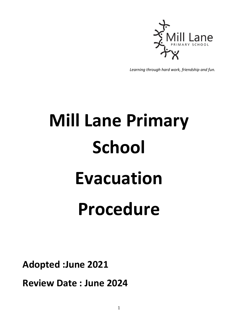

*Learning through hard work, friendship and fun.*

## **Mill Lane Primary School Evacuation Procedure**

**Adopted :June 2021**

**Review Date : June 2024**